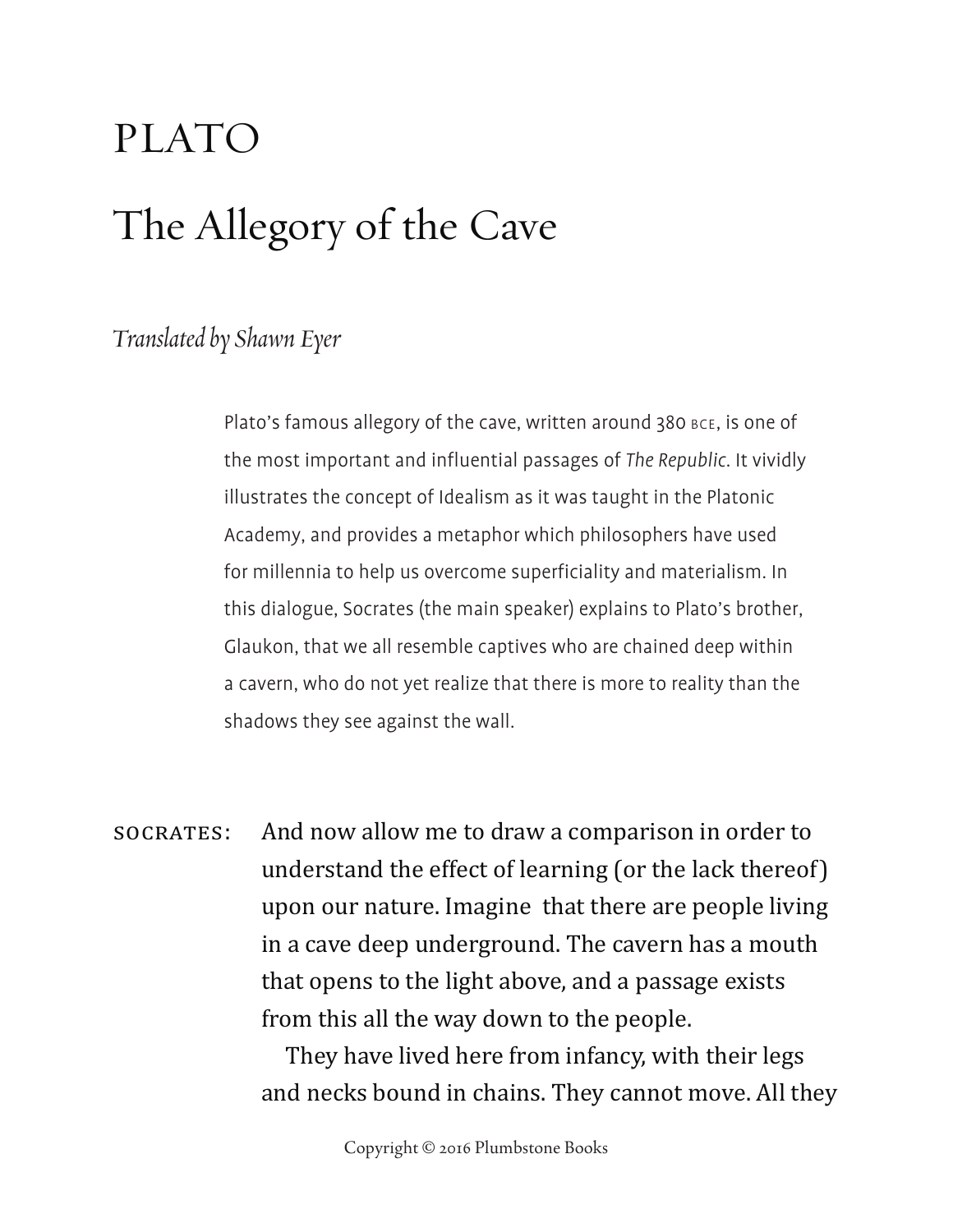## PLATO The Allegory of the Cave

## *Translated by Shawn Eyer*

Plato's famous allegory of the cave, written around 380 BCE, is one of the most important and influential passages of *The Republic*. It vividly illustrates the concept of Idealism as it was taught in the Platonic Academy, and provides a metaphor which philosophers have used for millennia to help us overcome superficiality and materialism. In this dialogue, Socrates (the main speaker) explains to Plato's brother, Glaukon, that we all resemble captives who are chained deep within a cavern, who do not yet realize that there is more to reality than the shadows they see against the wall.

SOCRATES: And now allow me to draw a comparison in order to understand the effect of learning (or the lack thereof) upon our nature. Imagine that there are people living in a cave deep underground. The cavern has a mouth that opens to the light above, and a passage exists from this all the way down to the people.

> They have lived here from infancy, with their legs and necks bound in chains. They cannot move. All they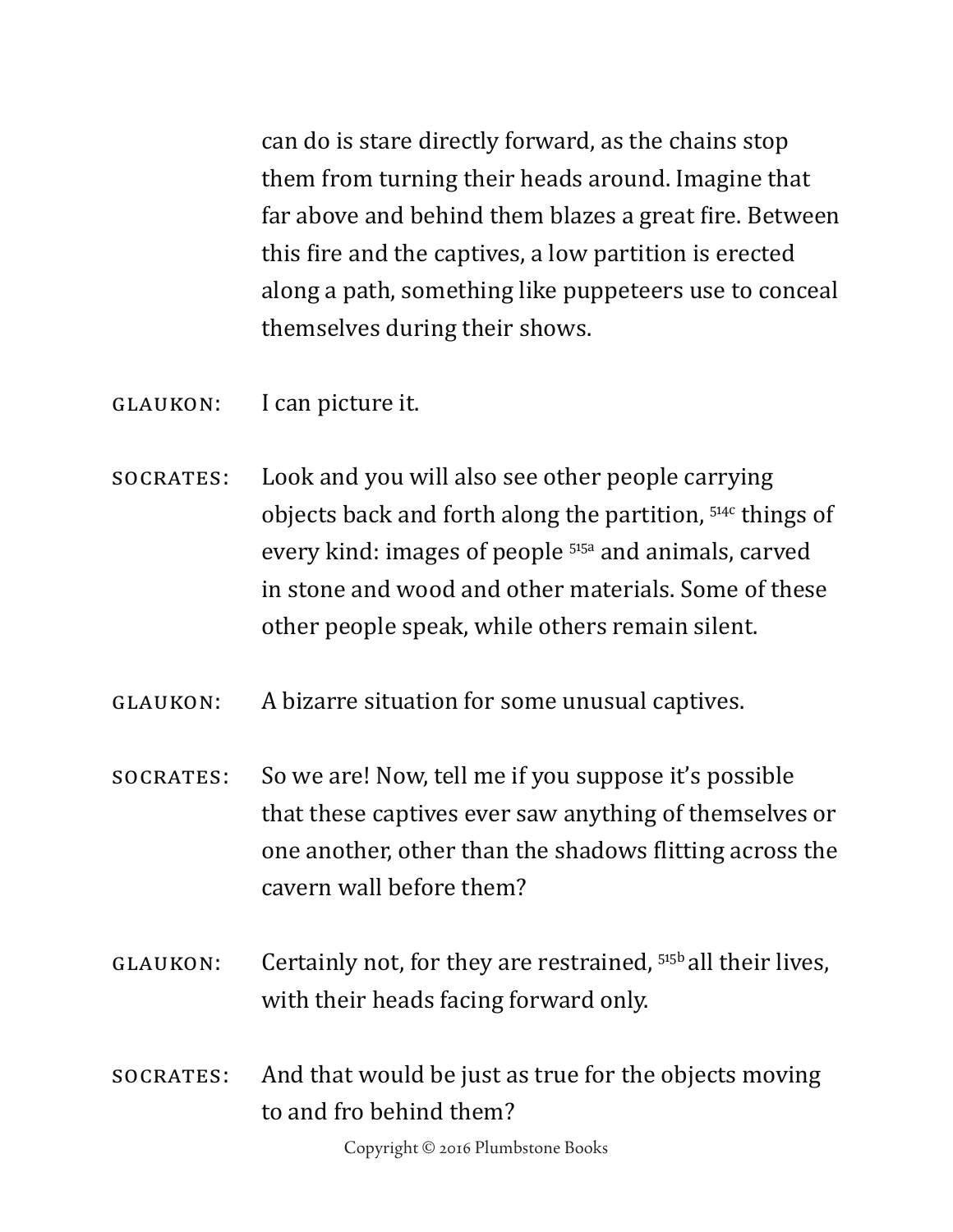can do is stare directly forward, as the chains stop them from turning their heads around. Imagine that far above and behind them blazes a great fire. Between this fire and the captives, a low partition is erected along a path, something like puppeteers use to conceal themselves during their shows.

- Glaukon: I can picture it.
- SOCRATES: Look and you will also see other people carrying objects back and forth along the partition, 514c things of every kind: images of people 515a and animals, carved in stone and wood and other materials. Some of these other people speak, while others remain silent.
- Glaukon: A bizarre situation for some unusual captives.
- Socrates: So we are! Now, tell me if you suppose it's possible that these captives ever saw anything of themselves or one another, other than the shadows flitting across the cavern wall before them?
- $GLAUKON:$  Certainly not, for they are restrained,  $515<sup>b</sup>$  all their lives, with their heads facing forward only.
- SOCRATES: And that would be just as true for the objects moving to and fro behind them?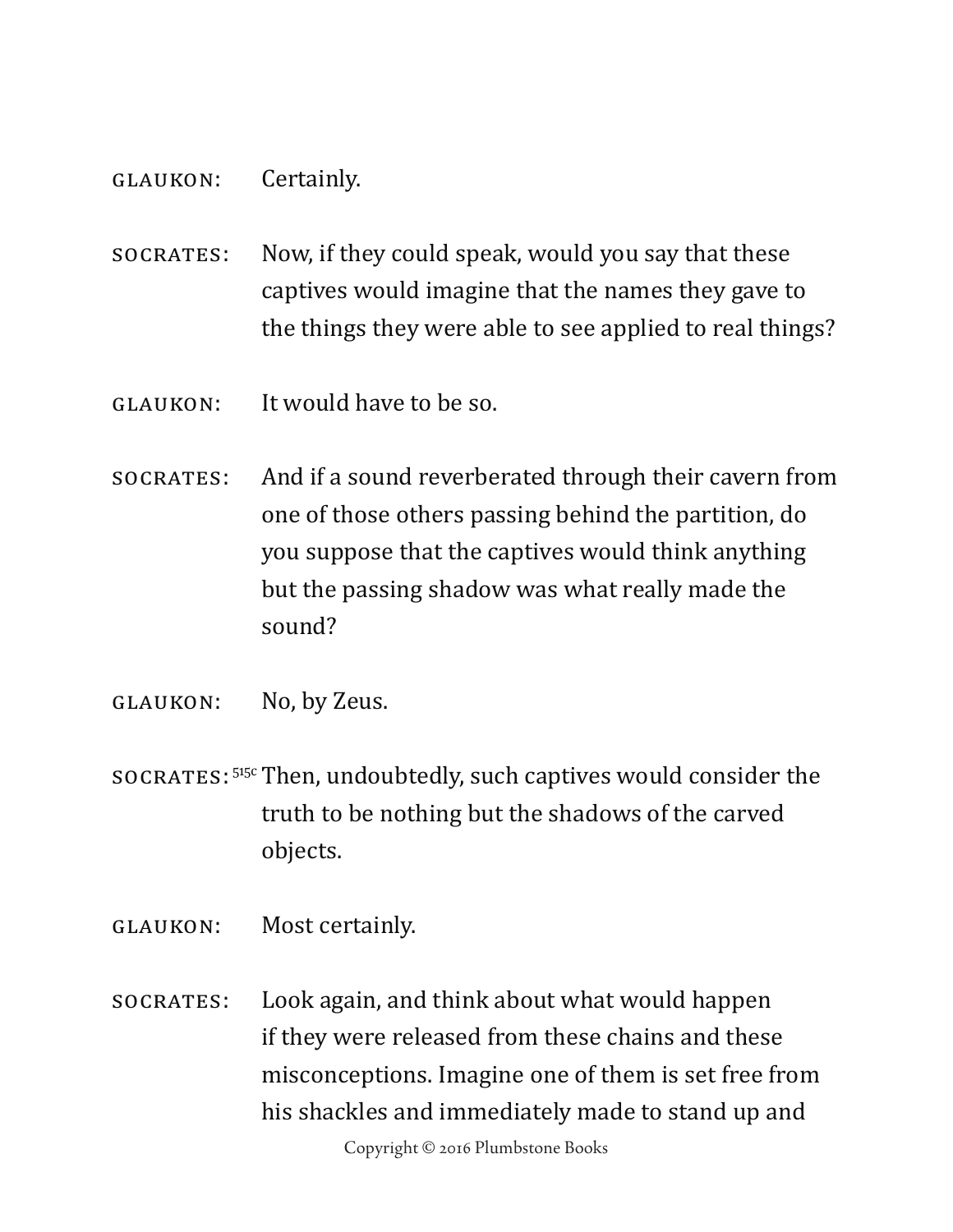- Glaukon: Certainly.
- SOCRATES: Now, if they could speak, would you say that these captives would imagine that the names they gave to the things they were able to see applied to real things?
- Glaukon: It would have to be so.
- Socrates: And if a sound reverberated through their cavern from one of those others passing behind the partition, do you suppose that the captives would think anything but the passing shadow was what really made the sound?
- Glaukon: No, by Zeus.
- Socrates: 515c Then, undoubtedly, such captives would consider the truth to be nothing but the shadows of the carved objects.
- Glaukon: Most certainly.
- SOCRATES: Look again, and think about what would happen if they were released from these chains and these misconceptions. Imagine one of them is set free from his shackles and immediately made to stand up and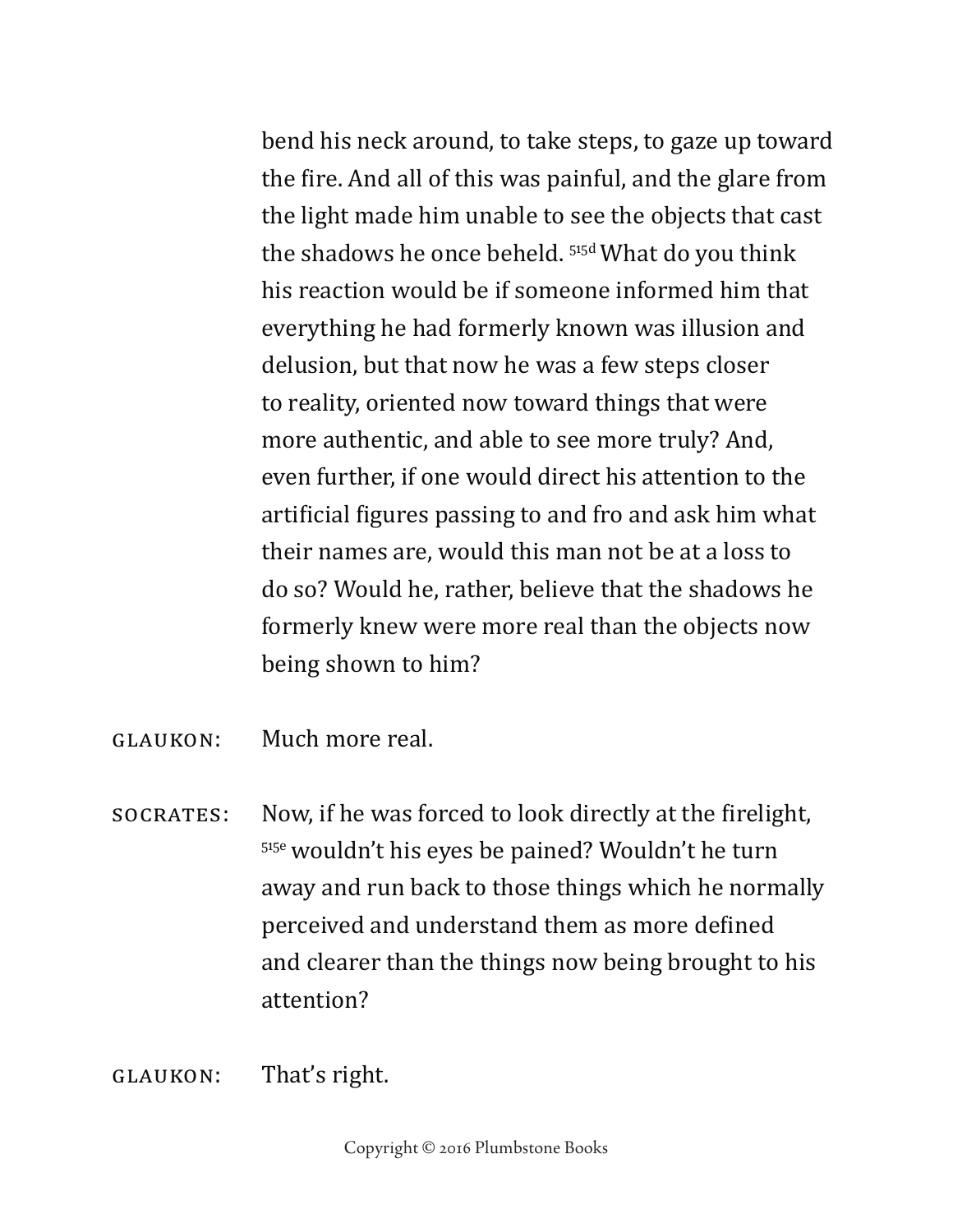bend his neck around, to take steps, to gaze up toward the fire. And all of this was painful, and the glare from the light made him unable to see the objects that cast the shadows he once beheld. 515d What do you think his reaction would be if someone informed him that everything he had formerly known was illusion and delusion, but that now he was a few steps closer to reality, oriented now toward things that were more authentic, and able to see more truly? And, even further, if one would direct his attention to the artificial figures passing to and fro and ask him what their names are, would this man not be at a loss to do so? Would he, rather, believe that the shadows he formerly knew were more real than the objects now being shown to him?

- Glaukon: Much more real.
- SOCRATES: Now, if he was forced to look directly at the firelight, 515e wouldn't his eyes be pained? Wouldn't he turn away and run back to those things which he normally perceived and understand them as more defined and clearer than the things now being brought to his attention?
- Glaukon: That's right.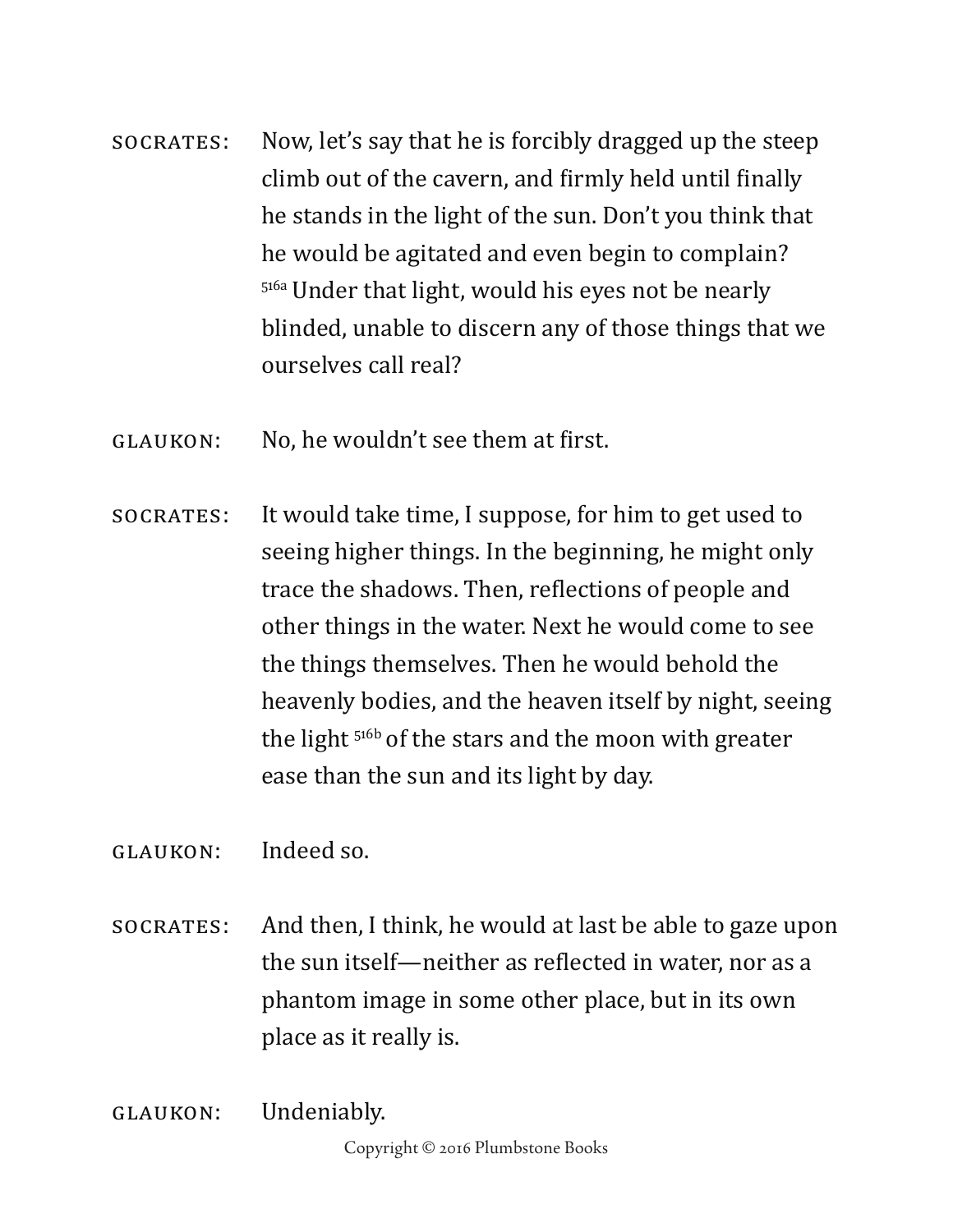- SOCRATES: Now, let's say that he is forcibly dragged up the steep climb out of the cavern, and firmly held until finally he stands in the light of the sun. Don't you think that he would be agitated and even begin to complain? 516a Under that light, would his eyes not be nearly blinded, unable to discern any of those things that we ourselves call real?
- Glaukon: No, he wouldn't see them at first.
- SOCRATES: It would take time, I suppose, for him to get used to seeing higher things. In the beginning, he might only trace the shadows. Then, reflections of people and other things in the water. Next he would come to see the things themselves. Then he would behold the heavenly bodies, and the heaven itself by night, seeing the light 516b of the stars and the moon with greater ease than the sun and its light by day.
- Glaukon: Indeed so.
- SOCRATES: And then, I think, he would at last be able to gaze upon the sun itself—neither as reflected in water, nor as a phantom image in some other place, but in its own place as it really is.
- Glaukon: Undeniably.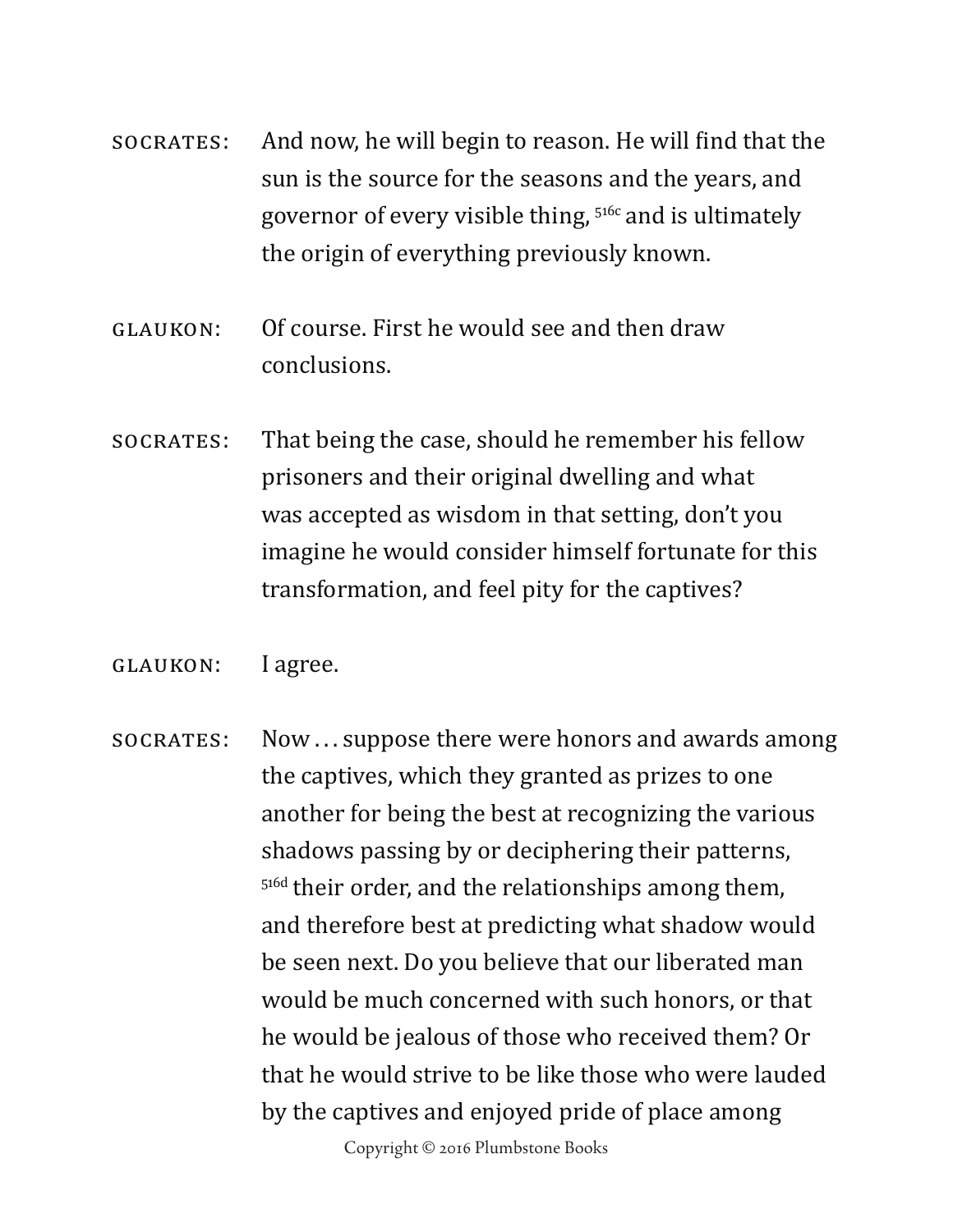- SOCRATES: And now, he will begin to reason. He will find that the sun is the source for the seasons and the years, and governor of every visible thing, 516c and is ultimately the origin of everything previously known.
- Glaukon: Of course. First he would see and then draw conclusions.
- SOCRATES: That being the case, should he remember his fellow prisoners and their original dwelling and what was accepted as wisdom in that setting, don't you imagine he would consider himself fortunate for this transformation, and feel pity for the captives?
- Glaukon: I agree.
- Socrates: Now . . . suppose there were honors and awards among the captives, which they granted as prizes to one another for being the best at recognizing the various shadows passing by or deciphering their patterns, <sup>516d</sup> their order, and the relationships among them, and therefore best at predicting what shadow would be seen next. Do you believe that our liberated man would be much concerned with such honors, or that he would be jealous of those who received them? Or that he would strive to be like those who were lauded by the captives and enjoyed pride of place among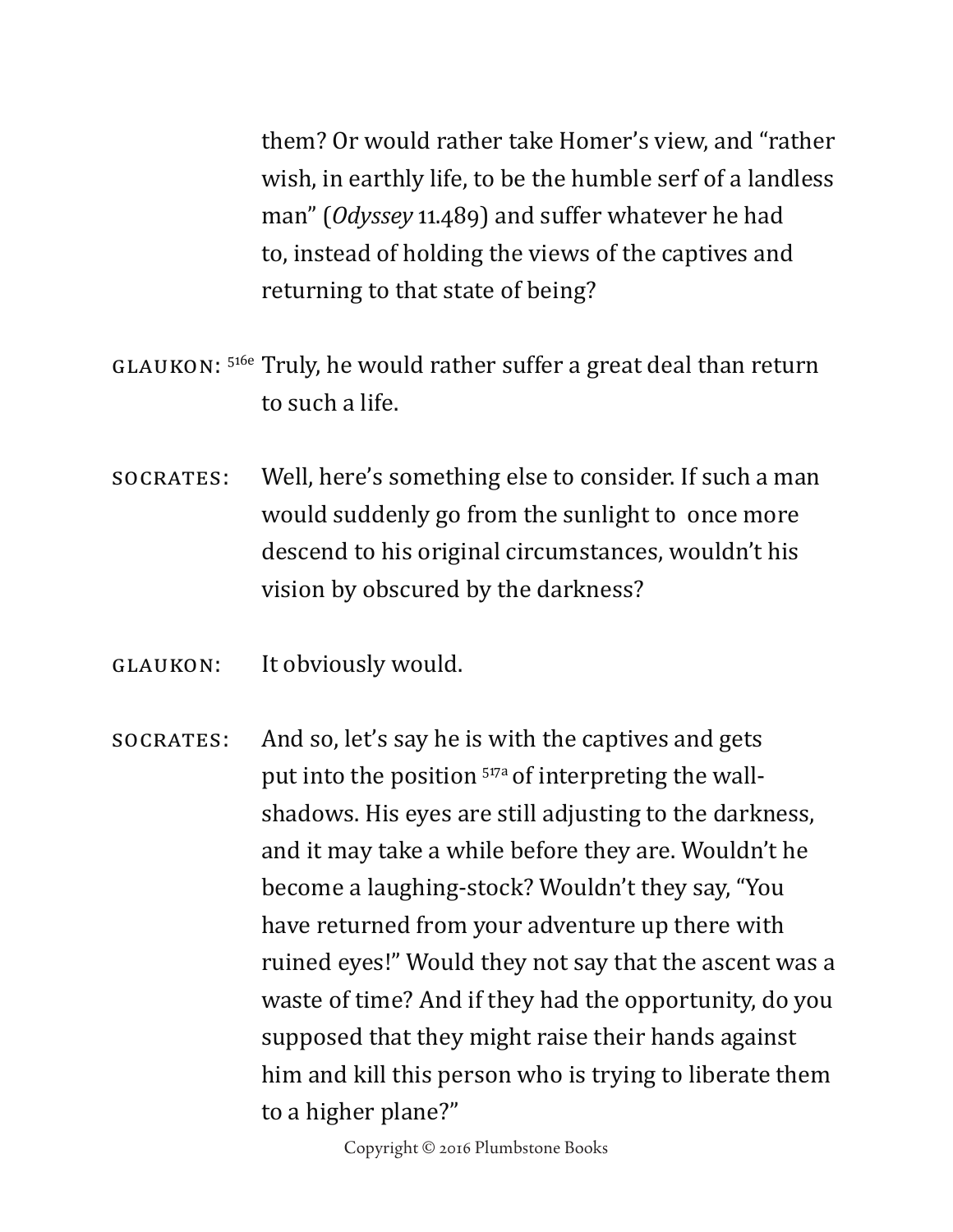them? Or would rather take Homer's view, and "rather wish, in earthly life, to be the humble serf of a landless man" (*Odyssey* 11.489) and suffer whatever he had to, instead of holding the views of the captives and returning to that state of being?

- Glaukon: 516e Truly, he would rather suffer a great deal than return to such a life.
- Socrates: Well, here's something else to consider. If such a man would suddenly go from the sunlight to once more descend to his original circumstances, wouldn't his vision by obscured by the darkness?
- Glaukon: It obviously would.
- SOCRATES: And so, let's say he is with the captives and gets put into the position 517a of interpreting the wallshadows. His eyes are still adjusting to the darkness, and it may take a while before they are. Wouldn't he become a laughing-stock? Wouldn't they say, "You have returned from your adventure up there with ruined eyes!" Would they not say that the ascent was a waste of time? And if they had the opportunity, do you supposed that they might raise their hands against him and kill this person who is trying to liberate them to a higher plane?"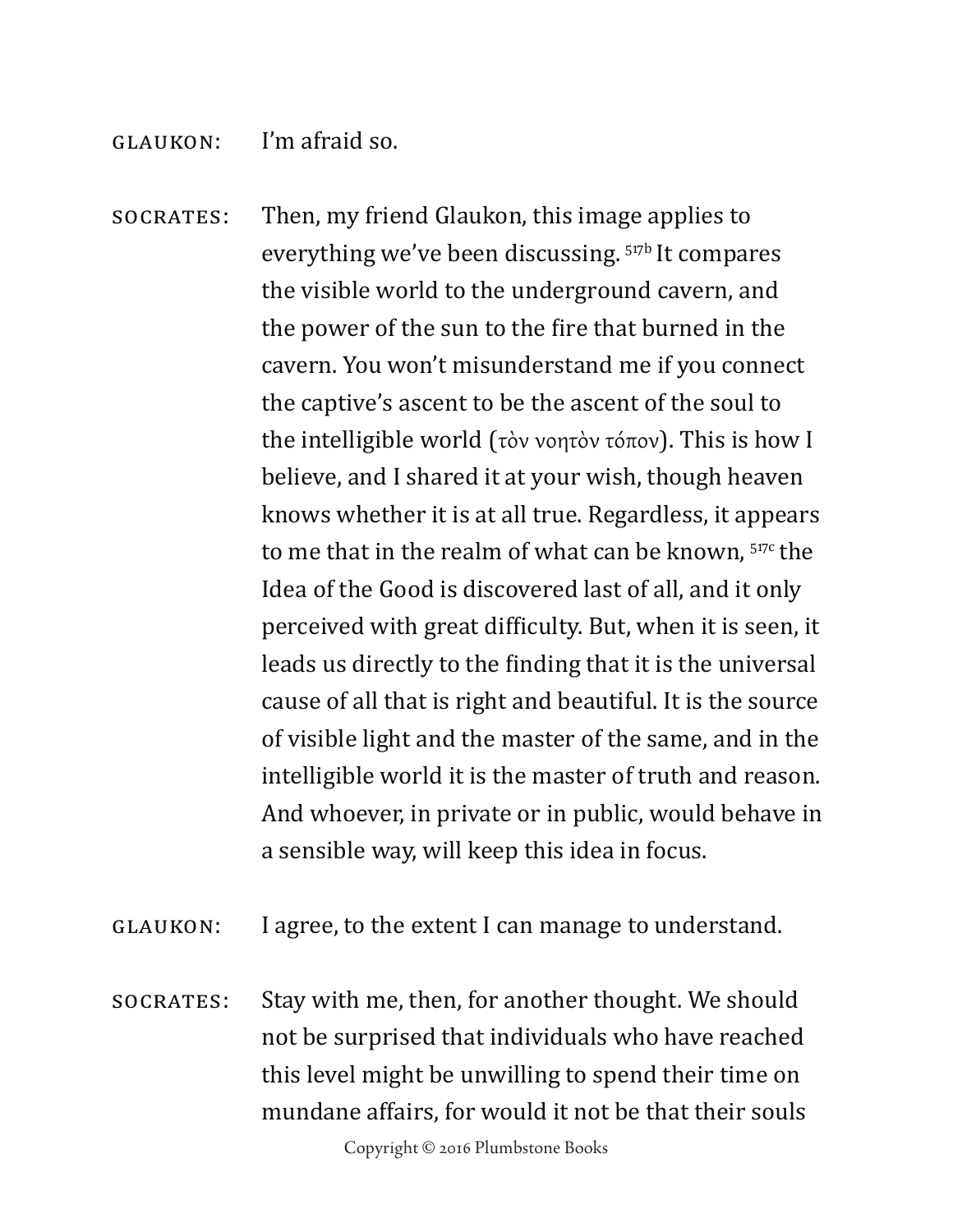## Glaukon: I'm afraid so.

- SOCRATES: Then, my friend Glaukon, this image applies to everything we've been discussing. 517b It compares the visible world to the underground cavern, and the power of the sun to the fire that burned in the cavern. You won't misunderstand me if you connect the captive's ascent to be the ascent of the soul to the intelligible world (τὸν νοητὸν τόπον). This is how I believe, and I shared it at your wish, though heaven knows whether it is at all true. Regardless, it appears to me that in the realm of what can be known,  $517c$ <sup>the</sup> Idea of the Good is discovered last of all, and it only perceived with great difficulty. But, when it is seen, it leads us directly to the finding that it is the universal cause of all that is right and beautiful. It is the source of visible light and the master of the same, and in the intelligible world it is the master of truth and reason. And whoever, in private or in public, would behave in a sensible way, will keep this idea in focus.
- Glaukon: I agree, to the extent I can manage to understand.
- SOCRATES: Stay with me, then, for another thought. We should not be surprised that individuals who have reached this level might be unwilling to spend their time on mundane affairs, for would it not be that their souls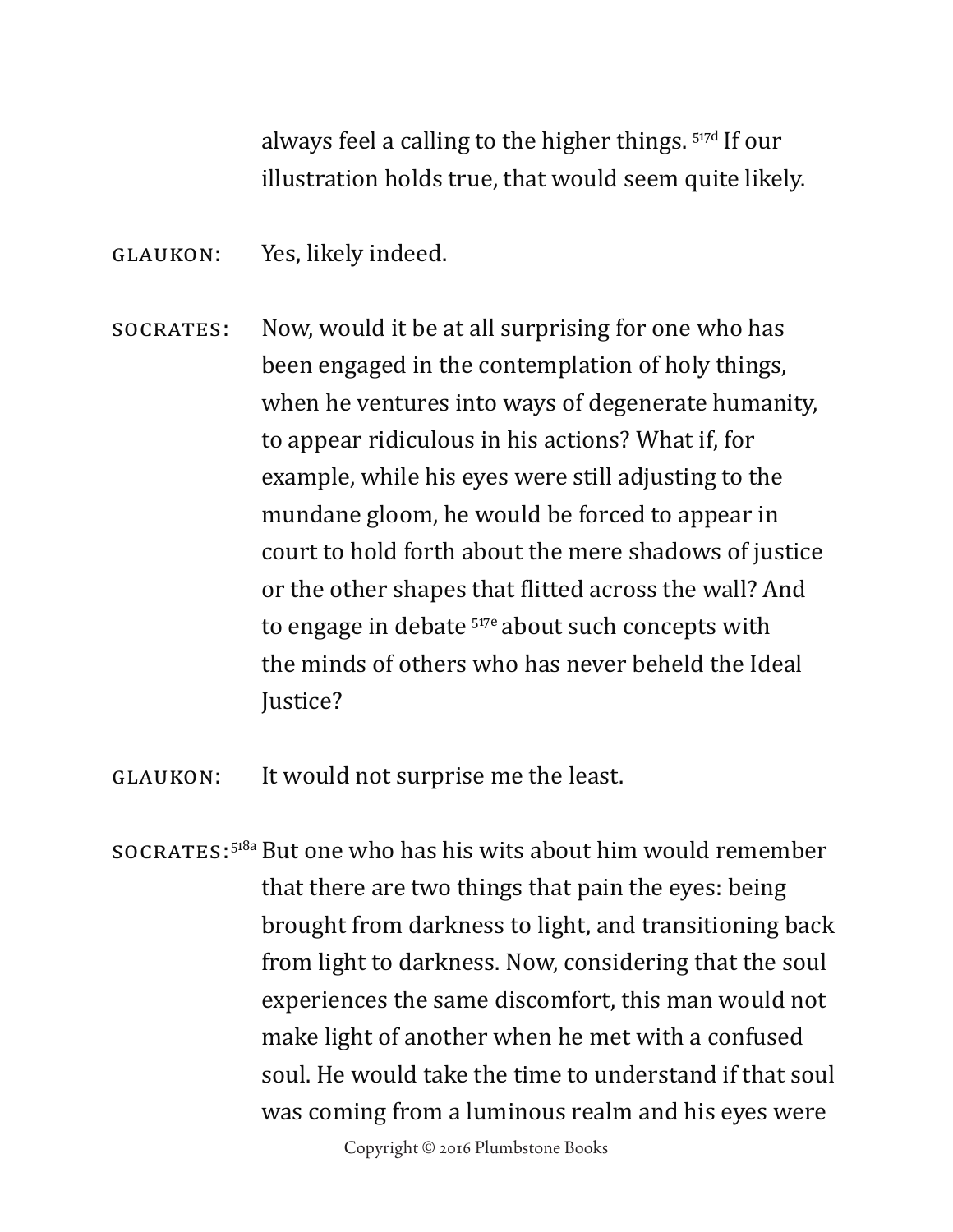always feel a calling to the higher things. 517d If our illustration holds true, that would seem quite likely.

- Glaukon: Yes, likely indeed.
- SOCRATES: Now, would it be at all surprising for one who has been engaged in the contemplation of holy things, when he ventures into ways of degenerate humanity, to appear ridiculous in his actions? What if, for example, while his eyes were still adjusting to the mundane gloom, he would be forced to appear in court to hold forth about the mere shadows of justice or the other shapes that flitted across the wall? And to engage in debate 517e about such concepts with the minds of others who has never beheld the Ideal Justice?
- Glaukon: It would not surprise me the least.
- Socrates: 518a But one who has his wits about him would remember that there are two things that pain the eyes: being brought from darkness to light, and transitioning back from light to darkness. Now, considering that the soul experiences the same discomfort, this man would not make light of another when he met with a confused soul. He would take the time to understand if that soul was coming from a luminous realm and his eyes were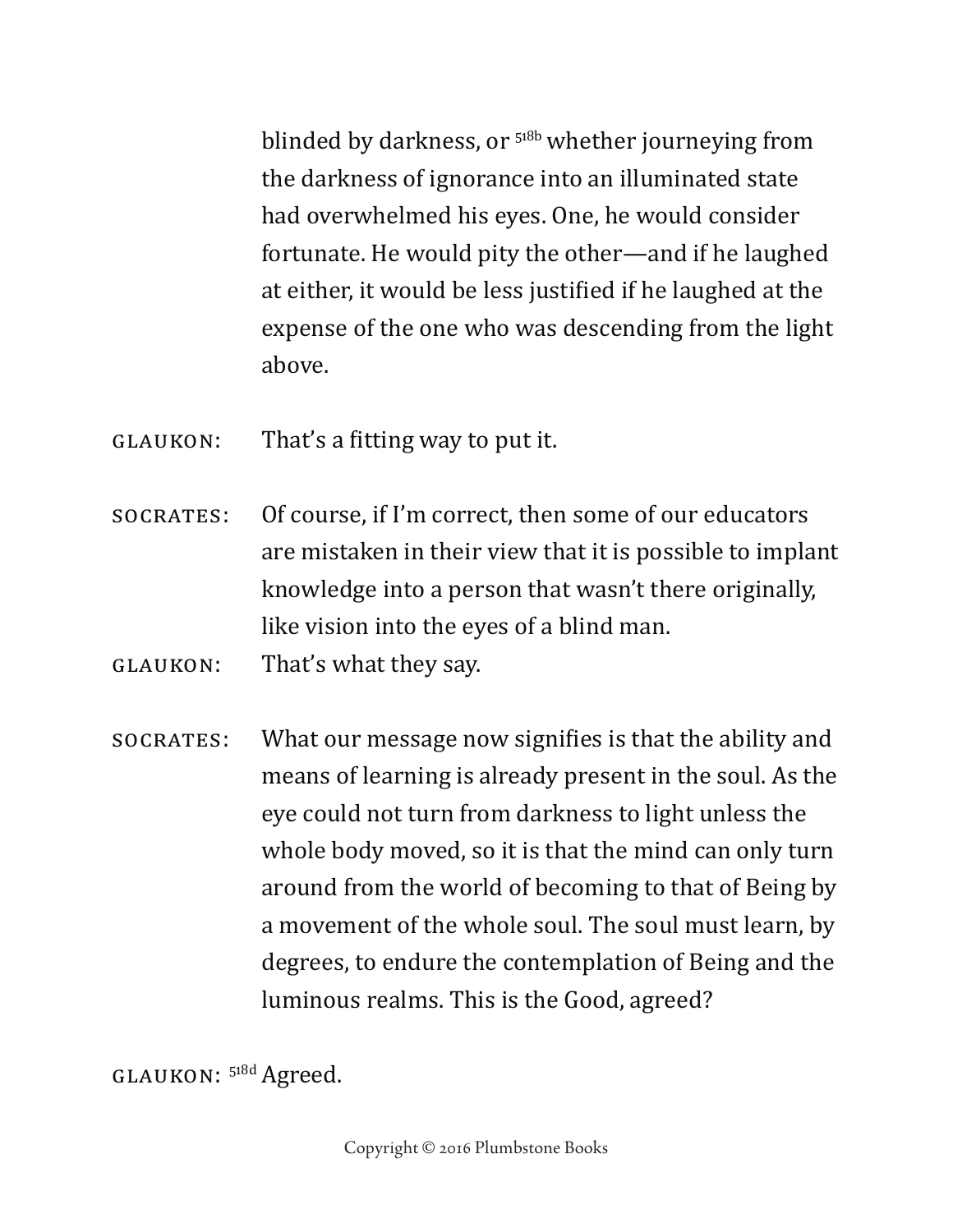blinded by darkness, or <sup>518b</sup> whether journeying from the darkness of ignorance into an illuminated state had overwhelmed his eyes. One, he would consider fortunate. He would pity the other—and if he laughed at either, it would be less justified if he laughed at the expense of the one who was descending from the light above.

- Glaukon: That's a fitting way to put it.
- SOCRATES: Of course, if I'm correct, then some of our educators are mistaken in their view that it is possible to implant knowledge into a person that wasn't there originally, like vision into the eyes of a blind man.
- Glaukon: That's what they say.
- SOCRATES: What our message now signifies is that the ability and means of learning is already present in the soul. As the eye could not turn from darkness to light unless the whole body moved, so it is that the mind can only turn around from the world of becoming to that of Being by a movement of the whole soul. The soul must learn, by degrees, to endure the contemplation of Being and the luminous realms. This is the Good, agreed?

Glaukon: 518d Agreed.